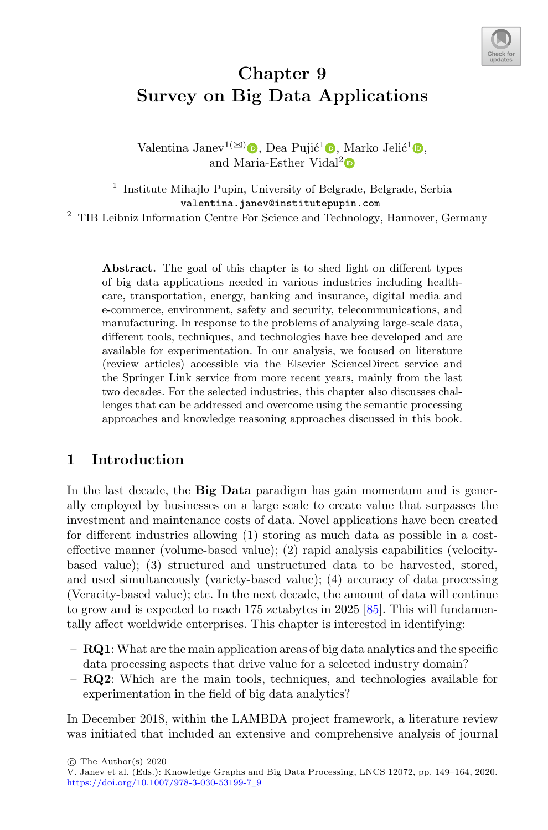

# **Chapter 9 Survey on Big Data Applications**

Valentina Janev<sup>1( $\boxtimes$ )</sup>  $\blacksquare$ [,](http://orcid.org/0000-0002-0220-1688) Dea Pujić<sup>1</sup> $\blacksquare$ , Marko Jelić<sup>1</sup> $\blacksquare$ , and Maria-Esther Vidal<sup>[2](http://orcid.org/0000-0003-1160-8727)</sup> $\bullet$ 

 $^{\rm 1}$  Institute Mihajlo Pupin, University of Belgrade, Belgrade, Serbia valentina.janev@institutepupin.com <sup>2</sup> TIB Leibniz Information Centre For Science and Technology, Hannover, Germany

**Abstract.** The goal of this chapter is to shed light on different types of big data applications needed in various industries including healthcare, transportation, energy, banking and insurance, digital media and e-commerce, environment, safety and security, telecommunications, and manufacturing. In response to the problems of analyzing large-scale data, different tools, techniques, and technologies have bee developed and are available for experimentation. In our analysis, we focused on literature (review articles) accessible via the Elsevier ScienceDirect service and the Springer Link service from more recent years, mainly from the last two decades. For the selected industries, this chapter also discusses challenges that can be addressed and overcome using the semantic processing approaches and knowledge reasoning approaches discussed in this book.

## **1 Introduction**

In the last decade, the **Big Data** paradigm has gain momentum and is generally employed by businesses on a large scale to create value that surpasses the investment and maintenance costs of data. Novel applications have been created for different industries allowing (1) storing as much data as possible in a costeffective manner (volume-based value); (2) rapid analysis capabilities (velocitybased value); (3) structured and unstructured data to be harvested, stored, and used simultaneously (variety-based value); (4) accuracy of data processing (Veracity-based value); etc. In the next decade, the amount of data will continue to grow and is expected to reach 175 zetabytes in 2025 [85]. This will fundamentally affect worldwide enterprises. This chapter is interested in identifying:

- **RQ1**: What are the main application areas of big data analytics and the specific data processing aspects that drive value for a selected industry domain?
- **RQ2**: Which are the main tools, techniques, and technologies available for experimentation in the field of big data analytics?

In December 2018, within the LAMBDA project framework, a literature review was initiated that included an extensive and comprehensive analysis of journal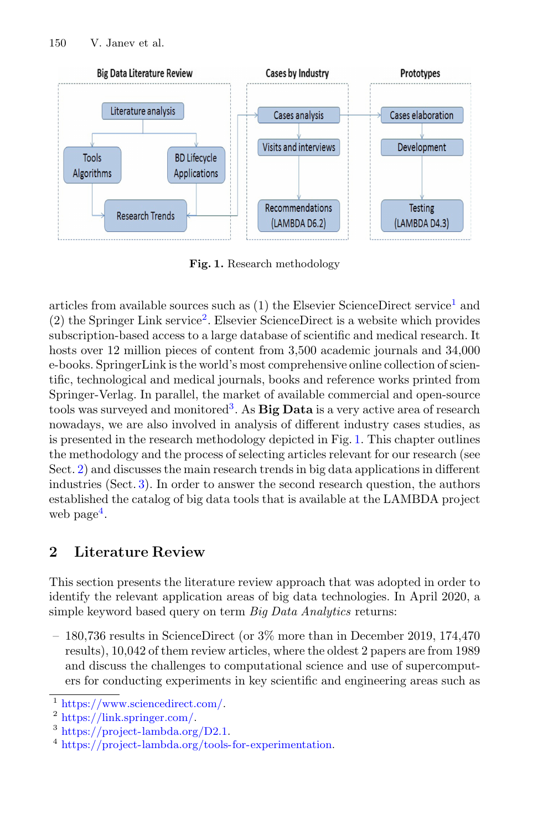#### 150 V. Janev et al.



<span id="page-1-3"></span>**Fig. 1.** Research methodology

articles from available sources such as  $(1)$  $(1)$  $(1)$  the Elsevier ScienceDirect service<sup>1</sup> and (2) the Springer Link service[2](#page-1-1). Elsevier ScienceDirect is a website which provides subscription-based access to a large database of scientific and medical research. It hosts over 12 million pieces of content from 3,500 academic journals and 34,000 e-books. SpringerLink is the world's most comprehensive online collection of scientific, technological and medical journals, books and reference works printed from Springer-Verlag. In parallel, the market of available commercial and open-source tools was surveyed and monitored<sup>[3](#page-1-2)</sup>. As **Big Data** is a very active area of research nowadays, we are also involved in analysis of different industry cases studies, as is presented in the research methodology depicted in Fig. [1.](#page-1-3) This chapter outlines the methodology and the process of selecting articles relevant for our research (see Sect. [2\)](#page-1-4) and discusses the main research trends in big data applications in different industries (Sect. [3\)](#page-4-0). In order to answer the second research question, the authors established the catalog of big data tools that is available at the LAMBDA project web page<sup>[4](#page-1-5)</sup>.

## <span id="page-1-4"></span>**2 Literature Review**

This section presents the literature review approach that was adopted in order to identify the relevant application areas of big data technologies. In April 2020, a simple keyword based query on term *Big Data Analytics* returns:

– 180,736 results in ScienceDirect (or 3% more than in December 2019, 174,470 results), 10,042 of them review articles, where the oldest 2 papers are from 1989 and discuss the challenges to computational science and use of supercomputers for conducting experiments in key scientific and engineering areas such as

<span id="page-1-0"></span> $1$  [https://www.sciencedirect.com/.](https://www.sciencedirect.com/)

<span id="page-1-1"></span><sup>2</sup> [https://link.springer.com/.](https://link.springer.com/)

<span id="page-1-2"></span><sup>3</sup> [https://project-lambda.org/D2.1.](https://project-lambda.org/D2.1)

<span id="page-1-5"></span><sup>&</sup>lt;sup>4</sup> [https://project-lambda.org/tools-for-experimentation.](https://project-lambda.org/tools-for-experimentation)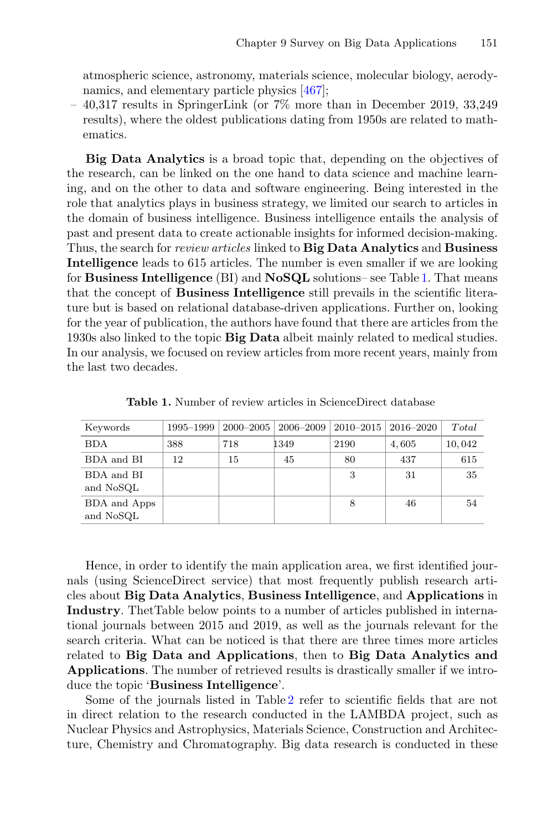atmospheric science, astronomy, materials science, molecular biology, aerodynamics, and elementary particle physics [467];

– 40,317 results in SpringerLink (or 7% more than in December 2019, 33,249 results), where the oldest publications dating from 1950s are related to mathematics.

**Big Data Analytics** is a broad topic that, depending on the objectives of the research, can be linked on the one hand to data science and machine learning, and on the other to data and software engineering. Being interested in the role that analytics plays in business strategy, we limited our search to articles in the domain of business intelligence. Business intelligence entails the analysis of past and present data to create actionable insights for informed decision-making. Thus, the search for *review articles* linked to **Big Data Analytics** and **Business Intelligence** leads to 615 articles. The number is even smaller if we are looking for **Business Intelligence** (BI) and **NoSQL** solutions– see Table [1.](#page-2-0) That means that the concept of **Business Intelligence** still prevails in the scientific literature but is based on relational database-driven applications. Further on, looking for the year of publication, the authors have found that there are articles from the 1930s also linked to the topic **Big Data** albeit mainly related to medical studies. In our analysis, we focused on review articles from more recent years, mainly from the last two decades.

| Keywords                  | 1995-1999 | $2000 - 2005$ | 2006–2009 | $2010 - 2015$ | 2016-2020 | Total  |
|---------------------------|-----------|---------------|-----------|---------------|-----------|--------|
| <b>BDA</b>                | 388       | 718           | 1349      | 2190          | 4,605     | 10,042 |
| BDA and BI                | 12        | 15            | 45        | 80            | 437       | 615    |
| BDA and BI<br>and NoSQL   |           |               |           | 3             | 31        | 35     |
| BDA and Apps<br>and NoSQL |           |               |           | 8             | 46        | 54     |

<span id="page-2-0"></span>**Table 1.** Number of review articles in ScienceDirect database

Hence, in order to identify the main application area, we first identified journals (using ScienceDirect service) that most frequently publish research articles about **Big Data Analytics**, **Business Intelligence**, and **Applications** in **Industry**. ThetTable below points to a number of articles published in international journals between 2015 and 2019, as well as the journals relevant for the search criteria. What can be noticed is that there are three times more articles related to **Big Data and Applications**, then to **Big Data Analytics and Applications**. The number of retrieved results is drastically smaller if we introduce the topic '**Business Intelligence**'.

Some of the journals listed in Table [2](#page-3-0) refer to scientific fields that are not in direct relation to the research conducted in the LAMBDA project, such as Nuclear Physics and Astrophysics, Materials Science, Construction and Architecture, Chemistry and Chromatography. Big data research is conducted in these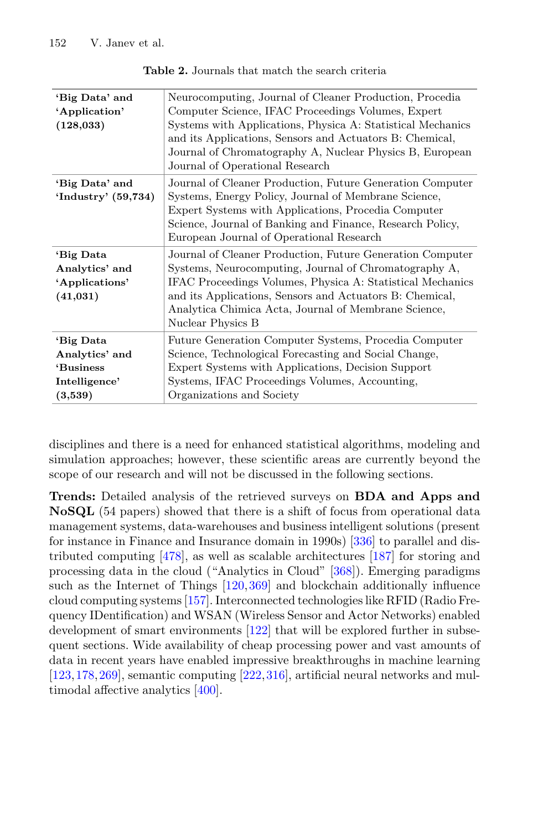| 'Big Data' and<br>'Application'<br>(128, 033)                        | Neurocomputing, Journal of Cleaner Production, Procedia<br>Computer Science, IFAC Proceedings Volumes, Expert<br>Systems with Applications, Physica A: Statistical Mechanics<br>and its Applications, Sensors and Actuators B: Chemical,<br>Journal of Chromatography A, Nuclear Physics B, European<br>Journal of Operational Research |
|----------------------------------------------------------------------|-----------------------------------------------------------------------------------------------------------------------------------------------------------------------------------------------------------------------------------------------------------------------------------------------------------------------------------------|
| 'Big Data' and<br>'Industry' $(59,734)$                              | Journal of Cleaner Production, Future Generation Computer<br>Systems, Energy Policy, Journal of Membrane Science,<br>Expert Systems with Applications, Procedia Computer<br>Science, Journal of Banking and Finance, Research Policy,<br>European Journal of Operational Research                                                       |
| 'Big Data<br>Analytics' and<br>'Applications'<br>(41, 031)           | Journal of Cleaner Production, Future Generation Computer<br>Systems, Neurocomputing, Journal of Chromatography A,<br>IFAC Proceedings Volumes, Physica A: Statistical Mechanics<br>and its Applications, Sensors and Actuators B: Chemical,<br>Analytica Chimica Acta, Journal of Membrane Science,<br>Nuclear Physics B               |
| 'Big Data<br>Analytics' and<br>'Business<br>Intelligence'<br>(3,539) | Future Generation Computer Systems, Procedia Computer<br>Science, Technological Forecasting and Social Change,<br>Expert Systems with Applications, Decision Support<br>Systems, IFAC Proceedings Volumes, Accounting,<br>Organizations and Society                                                                                     |

<span id="page-3-0"></span>**Table 2.** Journals that match the search criteria

disciplines and there is a need for enhanced statistical algorithms, modeling and simulation approaches; however, these scientific areas are currently beyond the scope of our research and will not be discussed in the following sections.

**Trends:** Detailed analysis of the retrieved surveys on **BDA and Apps and NoSQL** (54 papers) showed that there is a shift of focus from operational data management systems, data-warehouses and business intelligent solutions (present for instance in Finance and Insurance domain in 1990s) [336] to parallel and distributed computing [478], as well as scalable architectures [187] for storing and processing data in the cloud ("Analytics in Cloud" [368]). Emerging paradigms such as the Internet of Things  $[120,369]$  and blockchain additionally influence cloud computing systems [157]. Interconnected technologies like RFID (Radio Frequency IDentification) and WSAN (Wireless Sensor and Actor Networks) enabled development of smart environments [122] that will be explored further in subsequent sections. Wide availability of cheap processing power and vast amounts of data in recent years have enabled impressive breakthroughs in machine learning [123,178,269], semantic computing [222,316], artificial neural networks and multimodal affective analytics [400].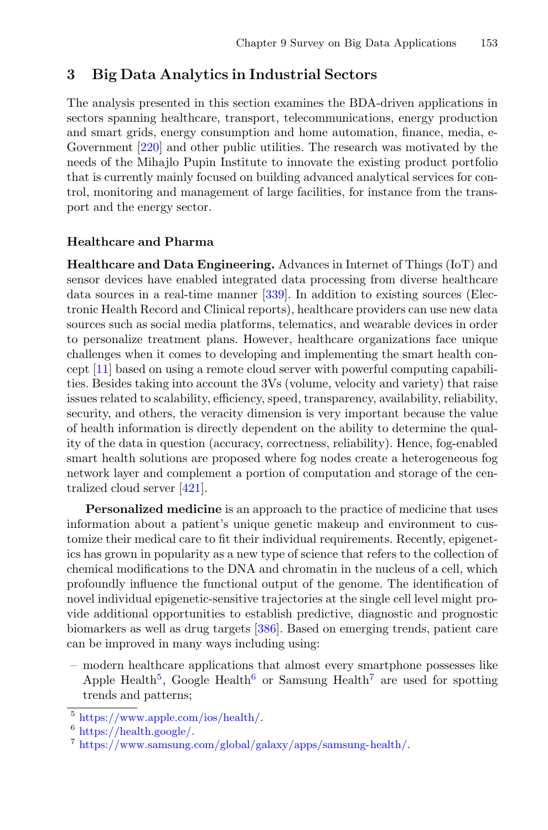## <span id="page-4-0"></span>**3 Big Data Analytics in Industrial Sectors**

The analysis presented in this section examines the BDA-driven applications in sectors spanning healthcare, transport, telecommunications, energy production and smart grids, energy consumption and home automation, finance, media, e-Government [220] and other public utilities. The research was motivated by the needs of the Mihajlo Pupin Institute to innovate the existing product portfolio that is currently mainly focused on building advanced analytical services for control, monitoring and management of large facilities, for instance from the transport and the energy sector.

#### **Healthcare and Pharma**

**Healthcare and Data Engineering.** Advances in Internet of Things (IoT) and sensor devices have enabled integrated data processing from diverse healthcare data sources in a real-time manner [339]. In addition to existing sources (Electronic Health Record and Clinical reports), healthcare providers can use new data sources such as social media platforms, telematics, and wearable devices in order to personalize treatment plans. However, healthcare organizations face unique challenges when it comes to developing and implementing the smart health concept [11] based on using a remote cloud server with powerful computing capabilities. Besides taking into account the 3Vs (volume, velocity and variety) that raise issues related to scalability, efficiency, speed, transparency, availability, reliability, security, and others, the veracity dimension is very important because the value of health information is directly dependent on the ability to determine the quality of the data in question (accuracy, correctness, reliability). Hence, fog-enabled smart health solutions are proposed where fog nodes create a heterogeneous fog network layer and complement a portion of computation and storage of the centralized cloud server [421].

**Personalized medicine** is an approach to the practice of medicine that uses information about a patient's unique genetic makeup and environment to customize their medical care to fit their individual requirements. Recently, epigenetics has grown in popularity as a new type of science that refers to the collection of chemical modifications to the DNA and chromatin in the nucleus of a cell, which profoundly influence the functional output of the genome. The identification of novel individual epigenetic-sensitive trajectories at the single cell level might provide additional opportunities to establish predictive, diagnostic and prognostic biomarkers as well as drug targets [386]. Based on emerging trends, patient care can be improved in many ways including using:

– modern healthcare applications that almost every smartphone possesses like Apple Health<sup>[5](#page-4-1)</sup>, Google Health<sup>[6](#page-4-2)</sup> or Samsung Health<sup>[7](#page-4-3)</sup> are used for spotting trends and patterns;

<span id="page-4-1"></span> $^5$ [https://www.apple.com/ios/health/.](https://www.apple.com/ios/health/)

<span id="page-4-2"></span> $6 \text{ https://health.google/}.$ 

<span id="page-4-3"></span><sup>7</sup> [https://www.samsung.com/global/galaxy/apps/samsung-health/.](https://www.samsung.com/global/galaxy/apps/samsung-health/)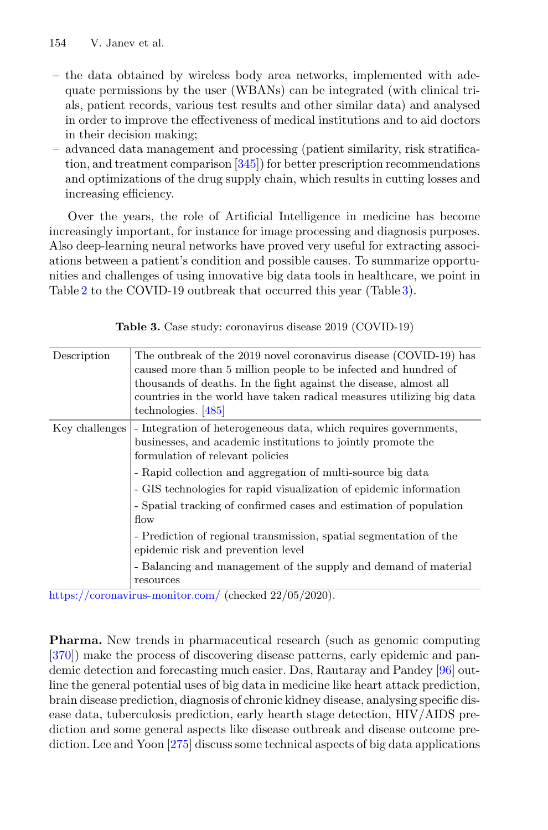- the data obtained by wireless body area networks, implemented with adequate permissions by the user (WBANs) can be integrated (with clinical trials, patient records, various test results and other similar data) and analysed in order to improve the effectiveness of medical institutions and to aid doctors in their decision making;
- advanced data management and processing (patient similarity, risk stratification, and treatment comparison [345]) for better prescription recommendations and optimizations of the drug supply chain, which results in cutting losses and increasing efficiency.

Over the years, the role of Artificial Intelligence in medicine has become increasingly important, for instance for image processing and diagnosis purposes. Also deep-learning neural networks have proved very useful for extracting associations between a patient's condition and possible causes. To summarize opportunities and challenges of using innovative big data tools in healthcare, we point in Table [2](#page-3-0) to the COVID-19 outbreak that occurred this year (Table [3\)](#page-5-0).

| Description    | The outbreak of the 2019 novel coronavirus disease (COVID-19) has<br>caused more than 5 million people to be infected and hundred of<br>thousands of deaths. In the fight against the disease, almost all<br>countries in the world have taken radical measures utilizing big data<br>technologies. $[485]$                                                                                                                                                                                                                                                                         |
|----------------|-------------------------------------------------------------------------------------------------------------------------------------------------------------------------------------------------------------------------------------------------------------------------------------------------------------------------------------------------------------------------------------------------------------------------------------------------------------------------------------------------------------------------------------------------------------------------------------|
| Key challenges | - Integration of heterogeneous data, which requires governments,<br>businesses, and academic institutions to jointly promote the<br>formulation of relevant policies<br>- Rapid collection and aggregation of multi-source big data<br>- GIS technologies for rapid visualization of epidemic information<br>- Spatial tracking of confirmed cases and estimation of population<br>flow<br>- Prediction of regional transmission, spatial segmentation of the<br>epidemic risk and prevention level<br>- Balancing and management of the supply and demand of material<br>resources |
|                |                                                                                                                                                                                                                                                                                                                                                                                                                                                                                                                                                                                     |

<span id="page-5-0"></span>**Table 3.** Case study: coronavirus disease 2019 (COVID-19)

<https://coronavirus-monitor.com/> (checked 22/05/2020).

**Pharma.** New trends in pharmaceutical research (such as genomic computing [370]) make the process of discovering disease patterns, early epidemic and pandemic detection and forecasting much easier. Das, Rautaray and Pandey [96] outline the general potential uses of big data in medicine like heart attack prediction, brain disease prediction, diagnosis of chronic kidney disease, analysing specific disease data, tuberculosis prediction, early hearth stage detection, HIV/AIDS prediction and some general aspects like disease outbreak and disease outcome prediction. Lee and Yoon [275] discuss some technical aspects of big data applications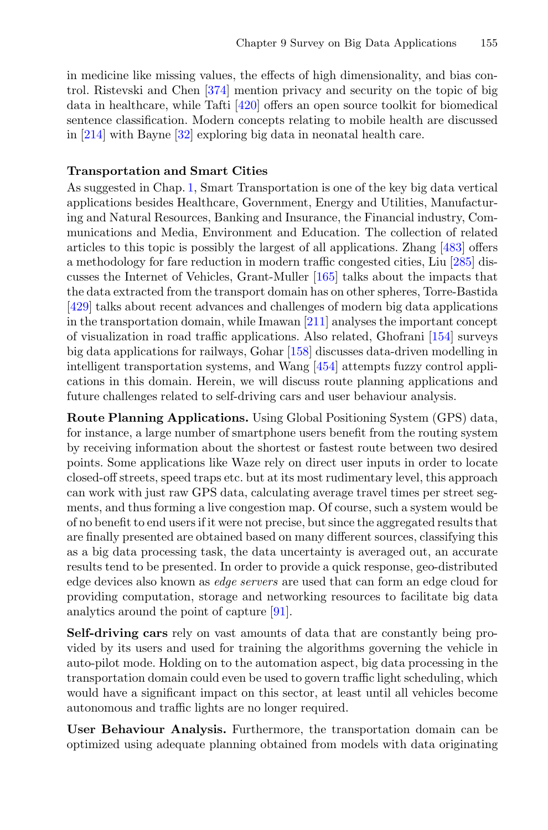in medicine like missing values, the effects of high dimensionality, and bias control. Ristevski and Chen [374] mention privacy and security on the topic of big data in healthcare, while Tafti [420] offers an open source toolkit for biomedical sentence classification. Modern concepts relating to mobile health are discussed in [214] with Bayne [32] exploring big data in neonatal health care.

#### **Transportation and Smart Cities**

As suggested in Chap. [1,](http://dx.doi.org/10.1007/978-3-030-53199-7_1) Smart Transportation is one of the key big data vertical applications besides Healthcare, Government, Energy and Utilities, Manufacturing and Natural Resources, Banking and Insurance, the Financial industry, Communications and Media, Environment and Education. The collection of related articles to this topic is possibly the largest of all applications. Zhang [483] offers a methodology for fare reduction in modern traffic congested cities, Liu [285] discusses the Internet of Vehicles, Grant-Muller [165] talks about the impacts that the data extracted from the transport domain has on other spheres, Torre-Bastida [429] talks about recent advances and challenges of modern big data applications in the transportation domain, while Imawan [211] analyses the important concept of visualization in road traffic applications. Also related, Ghofrani [154] surveys big data applications for railways, Gohar [158] discusses data-driven modelling in intelligent transportation systems, and Wang [454] attempts fuzzy control applications in this domain. Herein, we will discuss route planning applications and future challenges related to self-driving cars and user behaviour analysis.

**Route Planning Applications.** Using Global Positioning System (GPS) data, for instance, a large number of smartphone users benefit from the routing system by receiving information about the shortest or fastest route between two desired points. Some applications like Waze rely on direct user inputs in order to locate closed-off streets, speed traps etc. but at its most rudimentary level, this approach can work with just raw GPS data, calculating average travel times per street segments, and thus forming a live congestion map. Of course, such a system would be of no benefit to end users if it were not precise, but since the aggregated results that are finally presented are obtained based on many different sources, classifying this as a big data processing task, the data uncertainty is averaged out, an accurate results tend to be presented. In order to provide a quick response, geo-distributed edge devices also known as *edge servers* are used that can form an edge cloud for providing computation, storage and networking resources to facilitate big data analytics around the point of capture [91].

**Self-driving cars** rely on vast amounts of data that are constantly being provided by its users and used for training the algorithms governing the vehicle in auto-pilot mode. Holding on to the automation aspect, big data processing in the transportation domain could even be used to govern traffic light scheduling, which would have a significant impact on this sector, at least until all vehicles become autonomous and traffic lights are no longer required.

**User Behaviour Analysis.** Furthermore, the transportation domain can be optimized using adequate planning obtained from models with data originating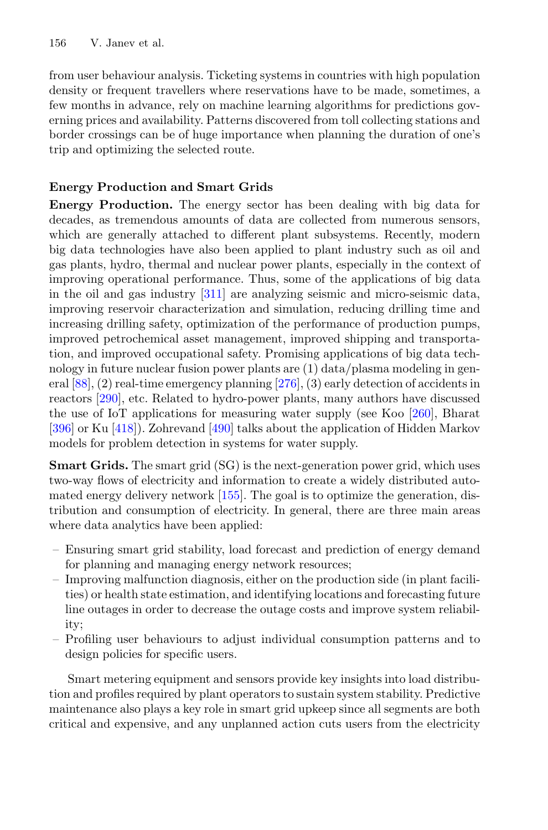from user behaviour analysis. Ticketing systems in countries with high population density or frequent travellers where reservations have to be made, sometimes, a few months in advance, rely on machine learning algorithms for predictions governing prices and availability. Patterns discovered from toll collecting stations and border crossings can be of huge importance when planning the duration of one's trip and optimizing the selected route.

## **Energy Production and Smart Grids**

**Energy Production.** The energy sector has been dealing with big data for decades, as tremendous amounts of data are collected from numerous sensors, which are generally attached to different plant subsystems. Recently, modern big data technologies have also been applied to plant industry such as oil and gas plants, hydro, thermal and nuclear power plants, especially in the context of improving operational performance. Thus, some of the applications of big data in the oil and gas industry [311] are analyzing seismic and micro-seismic data, improving reservoir characterization and simulation, reducing drilling time and increasing drilling safety, optimization of the performance of production pumps, improved petrochemical asset management, improved shipping and transportation, and improved occupational safety. Promising applications of big data technology in future nuclear fusion power plants are (1) data/plasma modeling in general [88], (2) real-time emergency planning [276], (3) early detection of accidents in reactors [290], etc. Related to hydro-power plants, many authors have discussed the use of IoT applications for measuring water supply (see Koo [260], Bharat [396] or Ku [418]). Zohrevand [490] talks about the application of Hidden Markov models for problem detection in systems for water supply.

**Smart Grids.** The smart grid (SG) is the next-generation power grid, which uses two-way flows of electricity and information to create a widely distributed automated energy delivery network [155]. The goal is to optimize the generation, distribution and consumption of electricity. In general, there are three main areas where data analytics have been applied:

- Ensuring smart grid stability, load forecast and prediction of energy demand for planning and managing energy network resources;
- Improving malfunction diagnosis, either on the production side (in plant facilities) or health state estimation, and identifying locations and forecasting future line outages in order to decrease the outage costs and improve system reliability;
- Profiling user behaviours to adjust individual consumption patterns and to design policies for specific users.

Smart metering equipment and sensors provide key insights into load distribution and profiles required by plant operators to sustain system stability. Predictive maintenance also plays a key role in smart grid upkeep since all segments are both critical and expensive, and any unplanned action cuts users from the electricity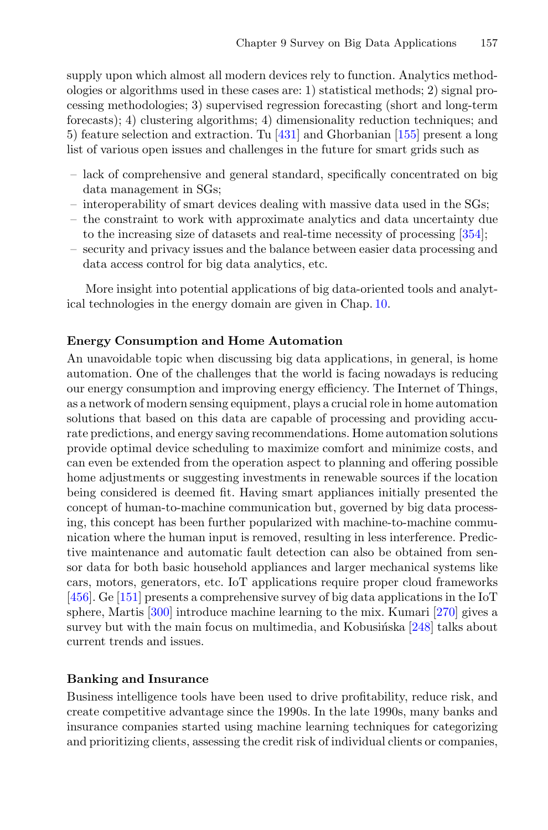supply upon which almost all modern devices rely to function. Analytics methodologies or algorithms used in these cases are: 1) statistical methods; 2) signal processing methodologies; 3) supervised regression forecasting (short and long-term forecasts); 4) clustering algorithms; 4) dimensionality reduction techniques; and 5) feature selection and extraction. Tu [431] and Ghorbanian [155] present a long list of various open issues and challenges in the future for smart grids such as

- lack of comprehensive and general standard, specifically concentrated on big data management in SGs;
- interoperability of smart devices dealing with massive data used in the SGs;
- the constraint to work with approximate analytics and data uncertainty due to the increasing size of datasets and real-time necessity of processing [354];
- security and privacy issues and the balance between easier data processing and data access control for big data analytics, etc.

More insight into potential applications of big data-oriented tools and analytical technologies in the energy domain are given in Chap. [10.](http://dx.doi.org/10.1007/978-3-030-53199-7_10)

#### **Energy Consumption and Home Automation**

An unavoidable topic when discussing big data applications, in general, is home automation. One of the challenges that the world is facing nowadays is reducing our energy consumption and improving energy efficiency. The Internet of Things, as a network of modern sensing equipment, plays a crucial role in home automation solutions that based on this data are capable of processing and providing accurate predictions, and energy saving recommendations. Home automation solutions provide optimal device scheduling to maximize comfort and minimize costs, and can even be extended from the operation aspect to planning and offering possible home adjustments or suggesting investments in renewable sources if the location being considered is deemed fit. Having smart appliances initially presented the concept of human-to-machine communication but, governed by big data processing, this concept has been further popularized with machine-to-machine communication where the human input is removed, resulting in less interference. Predictive maintenance and automatic fault detection can also be obtained from sensor data for both basic household appliances and larger mechanical systems like cars, motors, generators, etc. IoT applications require proper cloud frameworks [456]. Ge [151] presents a comprehensive survey of big data applications in the IoT sphere, Martis [300] introduce machine learning to the mix. Kumari [270] gives a survey but with the main focus on multimedia, and Kobusinska  $[248]$  talks about current trends and issues.

#### **Banking and Insurance**

Business intelligence tools have been used to drive profitability, reduce risk, and create competitive advantage since the 1990s. In the late 1990s, many banks and insurance companies started using machine learning techniques for categorizing and prioritizing clients, assessing the credit risk of individual clients or companies,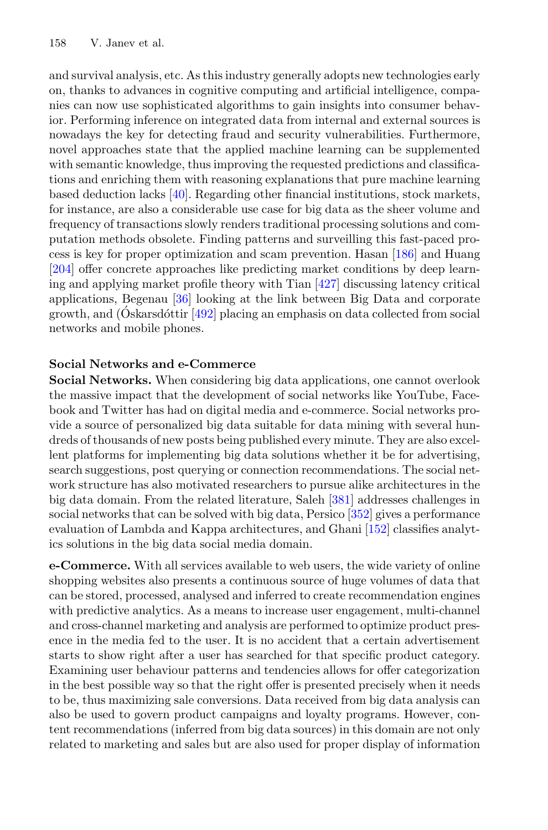and survival analysis, etc. As this industry generally adopts new technologies early on, thanks to advances in cognitive computing and artificial intelligence, companies can now use sophisticated algorithms to gain insights into consumer behavior. Performing inference on integrated data from internal and external sources is nowadays the key for detecting fraud and security vulnerabilities. Furthermore, novel approaches state that the applied machine learning can be supplemented with semantic knowledge, thus improving the requested predictions and classifications and enriching them with reasoning explanations that pure machine learning based deduction lacks [40]. Regarding other financial institutions, stock markets, for instance, are also a considerable use case for big data as the sheer volume and frequency of transactions slowly renders traditional processing solutions and computation methods obsolete. Finding patterns and surveilling this fast-paced process is key for proper optimization and scam prevention. Hasan [186] and Huang [204] offer concrete approaches like predicting market conditions by deep learning and applying market profile theory with Tian [427] discussing latency critical applications, Begenau [36] looking at the link between Big Data and corporate growth, and  $(Óskarsdóttir [492] placing an emphasis on data collected from social$ networks and mobile phones.

### **Social Networks and e-Commerce**

**Social Networks.** When considering big data applications, one cannot overlook the massive impact that the development of social networks like YouTube, Facebook and Twitter has had on digital media and e-commerce. Social networks provide a source of personalized big data suitable for data mining with several hundreds of thousands of new posts being published every minute. They are also excellent platforms for implementing big data solutions whether it be for advertising, search suggestions, post querying or connection recommendations. The social network structure has also motivated researchers to pursue alike architectures in the big data domain. From the related literature, Saleh [381] addresses challenges in social networks that can be solved with big data, Persico [352] gives a performance evaluation of Lambda and Kappa architectures, and Ghani [152] classifies analytics solutions in the big data social media domain.

**e-Commerce.** With all services available to web users, the wide variety of online shopping websites also presents a continuous source of huge volumes of data that can be stored, processed, analysed and inferred to create recommendation engines with predictive analytics. As a means to increase user engagement, multi-channel and cross-channel marketing and analysis are performed to optimize product presence in the media fed to the user. It is no accident that a certain advertisement starts to show right after a user has searched for that specific product category. Examining user behaviour patterns and tendencies allows for offer categorization in the best possible way so that the right offer is presented precisely when it needs to be, thus maximizing sale conversions. Data received from big data analysis can also be used to govern product campaigns and loyalty programs. However, content recommendations (inferred from big data sources) in this domain are not only related to marketing and sales but are also used for proper display of information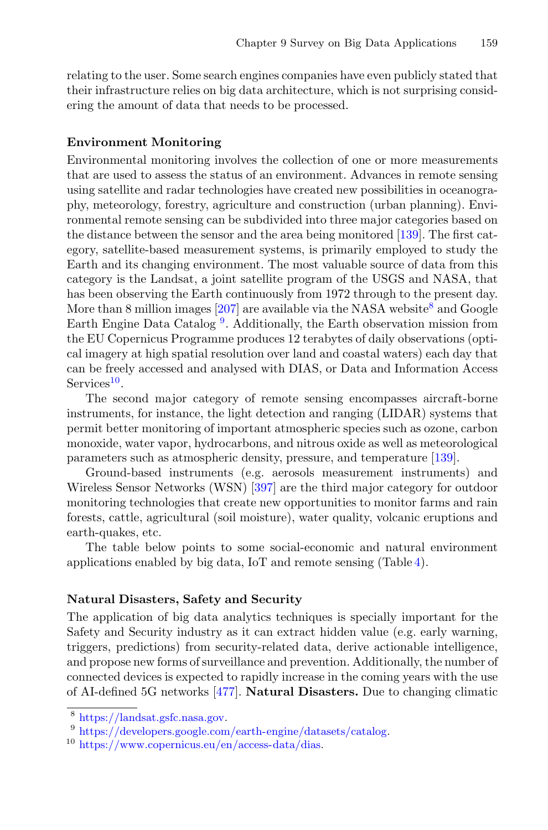relating to the user. Some search engines companies have even publicly stated that their infrastructure relies on big data architecture, which is not surprising considering the amount of data that needs to be processed.

#### **Environment Monitoring**

Environmental monitoring involves the collection of one or more measurements that are used to assess the status of an environment. Advances in remote sensing using satellite and radar technologies have created new possibilities in oceanography, meteorology, forestry, agriculture and construction (urban planning). Environmental remote sensing can be subdivided into three major categories based on the distance between the sensor and the area being monitored [139]. The first category, satellite-based measurement systems, is primarily employed to study the Earth and its changing environment. The most valuable source of data from this category is the Landsat, a joint satellite program of the USGS and NASA, that has been observing the Earth continuously from 1972 through to the present day. More than [8](#page-10-0) million images  $[207]$  are available via the NASA website<sup>8</sup> and Google Earth Engine Data Catalog [9](#page-10-1). Additionally, the Earth observation mission from the EU Copernicus Programme produces 12 terabytes of daily observations (optical imagery at high spatial resolution over land and coastal waters) each day that can be freely accessed and analysed with DIAS, or Data and Information Access Services<sup>[10](#page-10-2)</sup>.

The second major category of remote sensing encompasses aircraft-borne instruments, for instance, the light detection and ranging (LIDAR) systems that permit better monitoring of important atmospheric species such as ozone, carbon monoxide, water vapor, hydrocarbons, and nitrous oxide as well as meteorological parameters such as atmospheric density, pressure, and temperature [139].

Ground-based instruments (e.g. aerosols measurement instruments) and Wireless Sensor Networks (WSN) [397] are the third major category for outdoor monitoring technologies that create new opportunities to monitor farms and rain forests, cattle, agricultural (soil moisture), water quality, volcanic eruptions and earth-quakes, etc.

The table below points to some social-economic and natural environment applications enabled by big data, IoT and remote sensing (Table [4\)](#page-11-0).

#### **Natural Disasters, Safety and Security**

The application of big data analytics techniques is specially important for the Safety and Security industry as it can extract hidden value (e.g. early warning, triggers, predictions) from security-related data, derive actionable intelligence, and propose new forms of surveillance and prevention. Additionally, the number of connected devices is expected to rapidly increase in the coming years with the use of AI-defined 5G networks [477]. **Natural Disasters.** Due to changing climatic

<span id="page-10-0"></span><sup>8</sup> [https://landsat.gsfc.nasa.gov.](https://landsat.gsfc.nasa.gov)

<span id="page-10-1"></span> $^{9}$ [https://developers.google.com/earth-engine/datasets/catalog.](https://developers.google.com/earth-engine/datasets/catalog)

<span id="page-10-2"></span><sup>10</sup> [https://www.copernicus.eu/en/access-data/dias.](https://www.copernicus.eu/en/access-data/dias)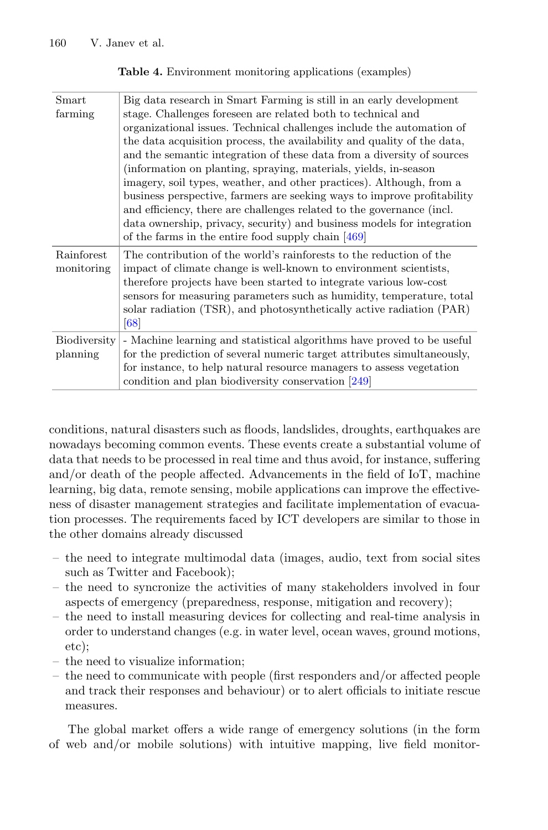| Smart<br>farming         | Big data research in Smart Farming is still in an early development<br>stage. Challenges foreseen are related both to technical and<br>organizational issues. Technical challenges include the automation of<br>the data acquisition process, the availability and quality of the data,<br>and the semantic integration of these data from a diversity of sources<br>(information on planting, spraying, materials, yields, in-season)<br>imagery, soil types, weather, and other practices). Although, from a<br>business perspective, farmers are seeking ways to improve profitability<br>and efficiency, there are challenges related to the governance (incl.<br>data ownership, privacy, security) and business models for integration<br>of the farms in the entire food supply chain [469] |
|--------------------------|----------------------------------------------------------------------------------------------------------------------------------------------------------------------------------------------------------------------------------------------------------------------------------------------------------------------------------------------------------------------------------------------------------------------------------------------------------------------------------------------------------------------------------------------------------------------------------------------------------------------------------------------------------------------------------------------------------------------------------------------------------------------------------------------------|
| Rainforest<br>monitoring | The contribution of the world's rainforests to the reduction of the<br>impact of climate change is well-known to environment scientists,<br>therefore projects have been started to integrate various low-cost<br>sensors for measuring parameters such as humidity, temperature, total<br>solar radiation (TSR), and photosynthetically active radiation (PAR)<br> 68                                                                                                                                                                                                                                                                                                                                                                                                                             |
| Biodiversity<br>planning | - Machine learning and statistical algorithms have proved to be useful.<br>for the prediction of several numeric target attributes simultaneously,<br>for instance, to help natural resource managers to assess vegetation<br>condition and plan biodiversity conservation [249]                                                                                                                                                                                                                                                                                                                                                                                                                                                                                                                   |

<span id="page-11-0"></span>**Table 4.** Environment monitoring applications (examples)

conditions, natural disasters such as floods, landslides, droughts, earthquakes are nowadays becoming common events. These events create a substantial volume of data that needs to be processed in real time and thus avoid, for instance, suffering and/or death of the people affected. Advancements in the field of IoT, machine learning, big data, remote sensing, mobile applications can improve the effectiveness of disaster management strategies and facilitate implementation of evacuation processes. The requirements faced by ICT developers are similar to those in the other domains already discussed

- the need to integrate multimodal data (images, audio, text from social sites such as Twitter and Facebook);
- the need to syncronize the activities of many stakeholders involved in four aspects of emergency (preparedness, response, mitigation and recovery);
- the need to install measuring devices for collecting and real-time analysis in order to understand changes (e.g. in water level, ocean waves, ground motions, etc);
- the need to visualize information;
- the need to communicate with people (first responders and/or affected people and track their responses and behaviour) or to alert officials to initiate rescue measures.

The global market offers a wide range of emergency solutions (in the form of web and/or mobile solutions) with intuitive mapping, live field monitor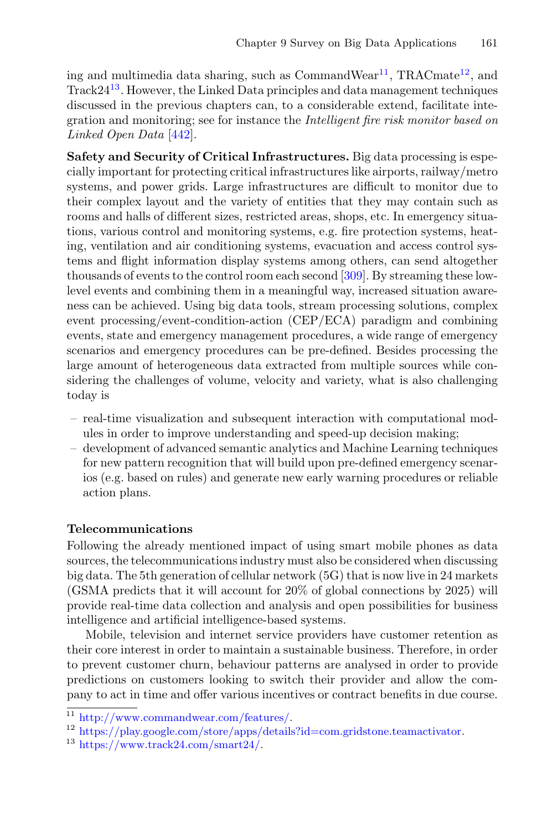ing and multimedia data sharing, such as  $CommandWear<sup>11</sup>, TRACmate<sup>12</sup>, and$  $CommandWear<sup>11</sup>, TRACmate<sup>12</sup>, and$  $CommandWear<sup>11</sup>, TRACmate<sup>12</sup>, and$  $CommandWear<sup>11</sup>, TRACmate<sup>12</sup>, and$  $CommandWear<sup>11</sup>, TRACmate<sup>12</sup>, and$ Track24[13](#page-12-2). However, the Linked Data principles and data management techniques discussed in the previous chapters can, to a considerable extend, facilitate integration and monitoring; see for instance the *Intelligent fire risk monitor based on Linked Open Data* [442].

**Safety and Security of Critical Infrastructures.** Big data processing is especially important for protecting critical infrastructures like airports, railway/metro systems, and power grids. Large infrastructures are difficult to monitor due to their complex layout and the variety of entities that they may contain such as rooms and halls of different sizes, restricted areas, shops, etc. In emergency situations, various control and monitoring systems, e.g. fire protection systems, heating, ventilation and air conditioning systems, evacuation and access control systems and flight information display systems among others, can send altogether thousands of events to the control room each second [309]. By streaming these lowlevel events and combining them in a meaningful way, increased situation awareness can be achieved. Using big data tools, stream processing solutions, complex event processing/event-condition-action (CEP/ECA) paradigm and combining events, state and emergency management procedures, a wide range of emergency scenarios and emergency procedures can be pre-defined. Besides processing the large amount of heterogeneous data extracted from multiple sources while considering the challenges of volume, velocity and variety, what is also challenging today is

- real-time visualization and subsequent interaction with computational modules in order to improve understanding and speed-up decision making;
- development of advanced semantic analytics and Machine Learning techniques for new pattern recognition that will build upon pre-defined emergency scenarios (e.g. based on rules) and generate new early warning procedures or reliable action plans.

#### **Telecommunications**

Following the already mentioned impact of using smart mobile phones as data sources, the telecommunications industry must also be considered when discussing big data. The 5th generation of cellular network (5G) that is now live in 24 markets (GSMA predicts that it will account for 20% of global connections by 2025) will provide real-time data collection and analysis and open possibilities for business intelligence and artificial intelligence-based systems.

Mobile, television and internet service providers have customer retention as their core interest in order to maintain a sustainable business. Therefore, in order to prevent customer churn, behaviour patterns are analysed in order to provide predictions on customers looking to switch their provider and allow the company to act in time and offer various incentives or contract benefits in due course.

<span id="page-12-0"></span>[http://www.commandwear.com/features/.](http://www.commandwear.com/features/)

<span id="page-12-1"></span> $^{12}$ [https://play.google.com/store/apps/details?id=com.gridstone.teamactivator.](https://play.google.com/store/apps/details?id=com.gridstone.teamactivator)

<span id="page-12-2"></span> $13 \text{ https://www.track24.com/smart24/}.$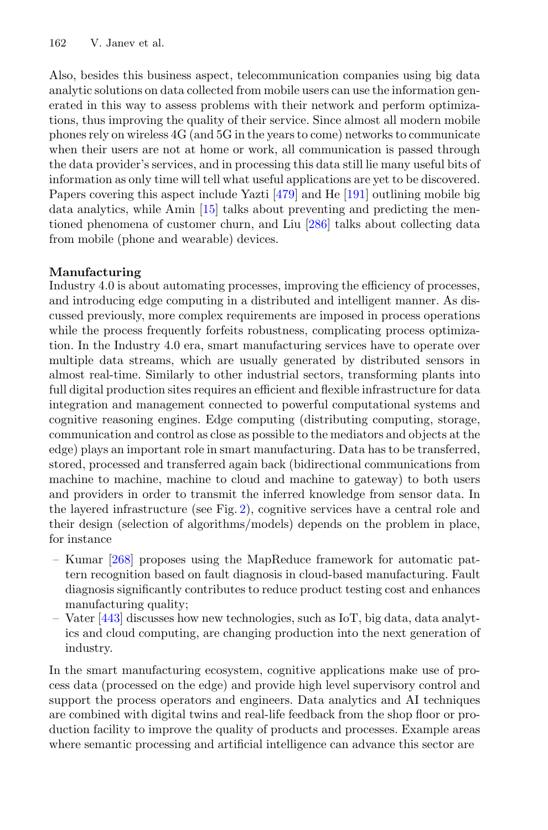Also, besides this business aspect, telecommunication companies using big data analytic solutions on data collected from mobile users can use the information generated in this way to assess problems with their network and perform optimizations, thus improving the quality of their service. Since almost all modern mobile phones rely on wireless 4G (and 5G in the years to come) networks to communicate when their users are not at home or work, all communication is passed through the data provider's services, and in processing this data still lie many useful bits of information as only time will tell what useful applications are yet to be discovered. Papers covering this aspect include Yazti [479] and He [191] outlining mobile big data analytics, while Amin [15] talks about preventing and predicting the mentioned phenomena of customer churn, and Liu [286] talks about collecting data from mobile (phone and wearable) devices.

## **Manufacturing**

Industry 4.0 is about automating processes, improving the efficiency of processes, and introducing edge computing in a distributed and intelligent manner. As discussed previously, more complex requirements are imposed in process operations while the process frequently forfeits robustness, complicating process optimization. In the Industry 4.0 era, smart manufacturing services have to operate over multiple data streams, which are usually generated by distributed sensors in almost real-time. Similarly to other industrial sectors, transforming plants into full digital production sites requires an efficient and flexible infrastructure for data integration and management connected to powerful computational systems and cognitive reasoning engines. Edge computing (distributing computing, storage, communication and control as close as possible to the mediators and objects at the edge) plays an important role in smart manufacturing. Data has to be transferred, stored, processed and transferred again back (bidirectional communications from machine to machine, machine to cloud and machine to gateway) to both users and providers in order to transmit the inferred knowledge from sensor data. In the layered infrastructure (see Fig. [2\)](#page-14-0), cognitive services have a central role and their design (selection of algorithms/models) depends on the problem in place, for instance

- Kumar [268] proposes using the MapReduce framework for automatic pattern recognition based on fault diagnosis in cloud-based manufacturing. Fault diagnosis significantly contributes to reduce product testing cost and enhances manufacturing quality;
- Vater [443] discusses how new technologies, such as IoT, big data, data analytics and cloud computing, are changing production into the next generation of industry.

In the smart manufacturing ecosystem, cognitive applications make use of process data (processed on the edge) and provide high level supervisory control and support the process operators and engineers. Data analytics and AI techniques are combined with digital twins and real-life feedback from the shop floor or production facility to improve the quality of products and processes. Example areas where semantic processing and artificial intelligence can advance this sector are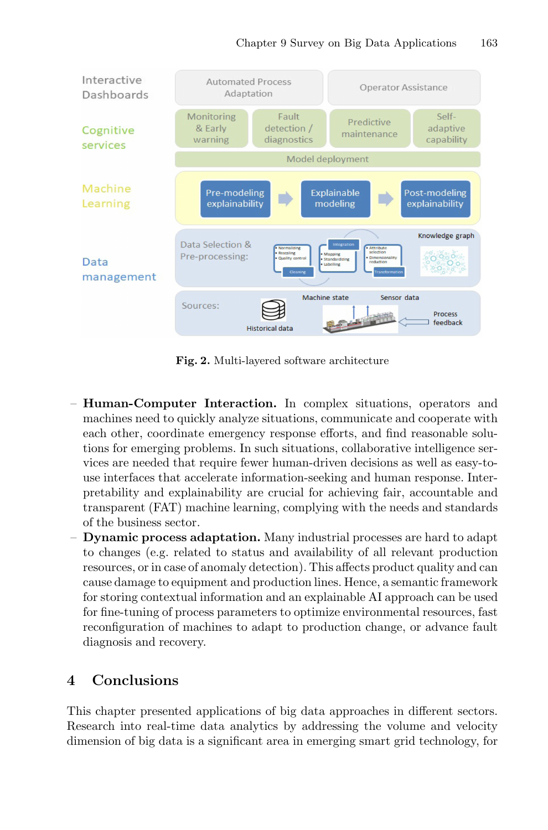

<span id="page-14-0"></span>**Fig. 2.** Multi-layered software architecture

- **Human-Computer Interaction.** In complex situations, operators and machines need to quickly analyze situations, communicate and cooperate with each other, coordinate emergency response efforts, and find reasonable solutions for emerging problems. In such situations, collaborative intelligence services are needed that require fewer human-driven decisions as well as easy-touse interfaces that accelerate information-seeking and human response. Interpretability and explainability are crucial for achieving fair, accountable and transparent (FAT) machine learning, complying with the needs and standards of the business sector.
- **Dynamic process adaptation.** Many industrial processes are hard to adapt to changes (e.g. related to status and availability of all relevant production resources, or in case of anomaly detection). This affects product quality and can cause damage to equipment and production lines. Hence, a semantic framework for storing contextual information and an explainable AI approach can be used for fine-tuning of process parameters to optimize environmental resources, fast reconfiguration of machines to adapt to production change, or advance fault diagnosis and recovery.

## **4 Conclusions**

This chapter presented applications of big data approaches in different sectors. Research into real-time data analytics by addressing the volume and velocity dimension of big data is a significant area in emerging smart grid technology, for